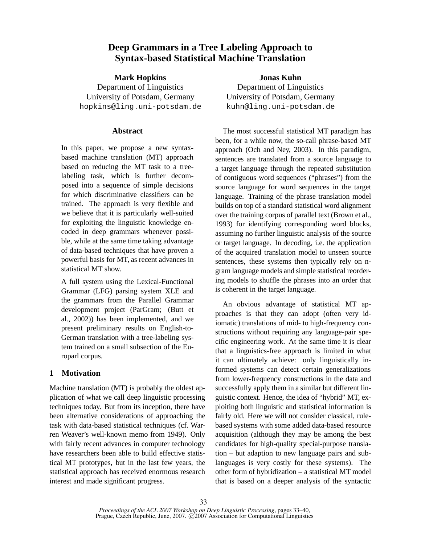# **Deep Grammars in a Tree Labeling Approach to Syntax-based Statistical Machine Translation**

**Mark Hopkins** Department of Linguistics University of Potsdam, Germany hopkins@ling.uni-potsdam.de

# **Abstract**

In this paper, we propose a new syntaxbased machine translation (MT) approach based on reducing the MT task to a treelabeling task, which is further decomposed into a sequence of simple decisions for which discriminative classifiers can be trained. The approach is very flexible and we believe that it is particularly well-suited for exploiting the linguistic knowledge encoded in deep grammars whenever possible, while at the same time taking advantage of data-based techniques that have proven a powerful basis for MT, as recent advances in statistical MT show.

A full system using the Lexical-Functional Grammar (LFG) parsing system XLE and the grammars from the Parallel Grammar development project (ParGram; (Butt et al., 2002)) has been implemented, and we present preliminary results on English-to-German translation with a tree-labeling system trained on a small subsection of the Europarl corpus.

## **1 Motivation**

Machine translation (MT) is probably the oldest application of what we call deep linguistic processing techniques today. But from its inception, there have been alternative considerations of approaching the task with data-based statistical techniques (cf. Warren Weaver's well-known memo from 1949). Only with fairly recent advances in computer technology have researchers been able to build effective statistical MT prototypes, but in the last few years, the statistical approach has received enormous research interest and made significant progress.

**Jonas Kuhn** Department of Linguistics University of Potsdam, Germany kuhn@ling.uni-potsdam.de

The most successful statistical MT paradigm has been, for a while now, the so-call phrase-based MT approach (Och and Ney, 2003). In this paradigm, sentences are translated from a source language to a target language through the repeated substitution of contiguous word sequences ("phrases") from the source language for word sequences in the target language. Training of the phrase translation model builds on top of a standard statistical word alignment over the training corpus of parallel text (Brown et al., 1993) for identifying corresponding word blocks, assuming no further linguistic analysis of the source or target language. In decoding, i.e. the application of the acquired translation model to unseen source sentences, these systems then typically rely on ngram language models and simple statistical reordering models to shuffle the phrases into an order that is coherent in the target language.

An obvious advantage of statistical MT approaches is that they can adopt (often very idiomatic) translations of mid- to high-frequency constructions without requiring any language-pair specific engineering work. At the same time it is clear that a linguistics-free approach is limited in what it can ultimately achieve: only linguistically informed systems can detect certain generalizations from lower-frequency constructions in the data and successfully apply them in a similar but different linguistic context. Hence, the idea of "hybrid" MT, exploiting both linguistic and statistical information is fairly old. Here we will not consider classical, rulebased systems with some added data-based resource acquisition (although they may be among the best candidates for high-quality special-purpose translation – but adaption to new language pairs and sublanguages is very costly for these systems). The other form of hybridization – a statistical MT model that is based on a deeper analysis of the syntactic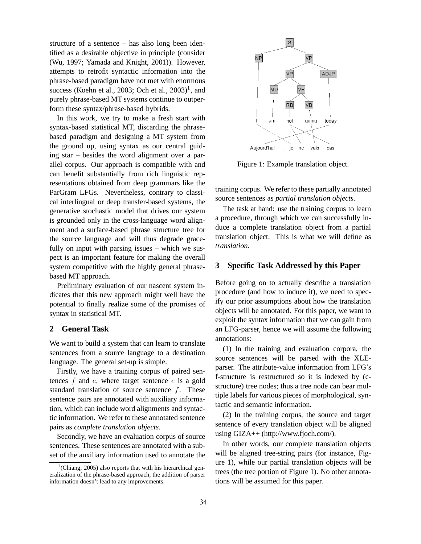structure of a sentence – has also long been identified as a desirable objective in principle (consider (Wu, 1997; Yamada and Knight, 2001)). However, attempts to retrofit syntactic information into the phrase-based paradigm have not met with enormous success (Koehn et al., 2003; Och et al.,  $2003)^1$ , and purely phrase-based MT systems continue to outperform these syntax/phrase-based hybrids.

In this work, we try to make a fresh start with syntax-based statistical MT, discarding the phrasebased paradigm and designing a MT system from the ground up, using syntax as our central guiding star – besides the word alignment over a parallel corpus. Our approach is compatible with and can benefit substantially from rich linguistic representations obtained from deep grammars like the ParGram LFGs. Nevertheless, contrary to classical interlingual or deep transfer-based systems, the generative stochastic model that drives our system is grounded only in the cross-language word alignment and a surface-based phrase structure tree for the source language and will thus degrade gracefully on input with parsing issues – which we suspect is an important feature for making the overall system competitive with the highly general phrasebased MT approach.

Preliminary evaluation of our nascent system indicates that this new approach might well have the potential to finally realize some of the promises of syntax in statistical MT.

# **2 General Task**

We want to build a system that can learn to translate sentences from a source language to a destination language. The general set-up is simple.

Firstly, we have a training corpus of paired sentences  $f$  and  $e$ , where target sentence  $e$  is a gold standard translation of source sentence f. These sentence pairs are annotated with auxiliary information, which can include word alignments and syntactic information. We refer to these annotated sentence pairs as *complete translation objects*.

Secondly, we have an evaluation corpus of source sentences. These sentences are annotated with a subset of the auxiliary information used to annotate the



Figure 1: Example translation object.

training corpus. We refer to these partially annotated source sentences as *partial translation objects*.

The task at hand: use the training corpus to learn a procedure, through which we can successfully induce a complete translation object from a partial translation object. This is what we will define as *translation*.

### **3 Specific Task Addressed by this Paper**

Before going on to actually describe a translation procedure (and how to induce it), we need to specify our prior assumptions about how the translation objects will be annotated. For this paper, we want to exploit the syntax information that we can gain from an LFG-parser, hence we will assume the following annotations:

(1) In the training and evaluation corpora, the source sentences will be parsed with the XLEparser. The attribute-value information from LFG's f-structure is restructured so it is indexed by (cstructure) tree nodes; thus a tree node can bear multiple labels for various pieces of morphological, syntactic and semantic information.

(2) In the training corpus, the source and target sentence of every translation object will be aligned using GIZA++ (http://www.fjoch.com/).

In other words, our complete translation objects will be aligned tree-string pairs (for instance, Figure 1), while our partial translation objects will be trees (the tree portion of Figure 1). No other annotations will be assumed for this paper.

 $1$ <sup>1</sup>(Chiang, 2005) also reports that with his hierarchical generalization of the phrase-based approach, the addition of parser information doesn't lead to any improvements.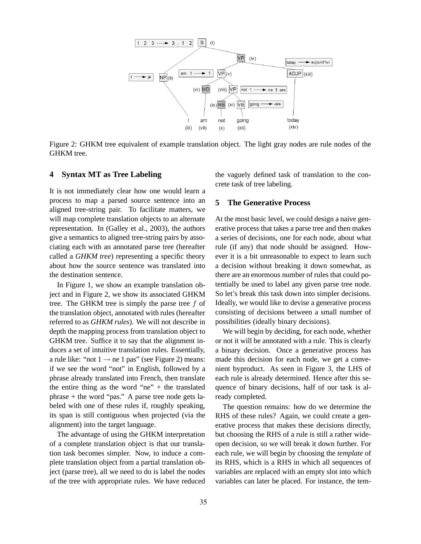

Figure 2: GHKM tree equivalent of example translation object. The light gray nodes are rule nodes of the GHKM tree.

# **4 Syntax MT as Tree Labeling**

It is not immediately clear how one would learn a process to map a parsed source sentence into an aligned tree-string pair. To facilitate matters, we will map complete translation objects to an alternate representation. In (Galley et al., 2003), the authors give a semantics to aligned tree-string pairs by associating each with an annotated parse tree (hereafter called a *GHKM tree*) representing a specific theory about how the source sentence was translated into the destination sentence.

In Figure 1, we show an example translation object and in Figure 2, we show its associated GHKM tree. The GHKM tree is simply the parse tree f of the translation object, annotated with rules (hereafter referred to as *GHKM rules*). We will not describe in depth the mapping process from translation object to GHKM tree. Suffice it to say that the alignment induces a set of intuitive translation rules. Essentially, a rule like: "not  $1 \rightarrow$  ne 1 pas" (see Figure 2) means: if we see the word "not" in English, followed by a phrase already translated into French, then translate the entire thing as the word "ne"  $+$  the translated phrase + the word "pas." A parse tree node gets labeled with one of these rules if, roughly speaking, its span is still contiguous when projected (via the alignment) into the target language.

The advantage of using the GHKM interpretation of a complete translation object is that our translation task becomes simpler. Now, to induce a complete translation object from a partial translation object (parse tree), all we need to do is label the nodes of the tree with appropriate rules. We have reduced the vaguely defined task of translation to the concrete task of tree labeling.

#### **5 The Generative Process**

At the most basic level, we could design a naive generative process that takes a parse tree and then makes a series of decisions, one for each node, about what rule (if any) that node should be assigned. However it is a bit unreasonable to expect to learn such a decision without breaking it down somewhat, as there are an enormous number of rules that could potentially be used to label any given parse tree node. So let's break this task down into simpler decisions. Ideally, we would like to devise a generative process consisting of decisions between a small number of possibilities (ideally binary decisions).

We will begin by deciding, for each node, whether or not it will be annotated with a rule. This is clearly a binary decision. Once a generative process has made this decision for each node, we get a convenient byproduct. As seen in Figure 3, the LHS of each rule is already determined. Hence after this sequence of binary decisions, half of our task is already completed.

The question remains: how do we determine the RHS of these rules? Again, we could create a generative process that makes these decisions directly, but choosing the RHS of a rule is still a rather wideopen decision, so we will break it down further. For each rule, we will begin by choosing the *template* of its RHS, which is a RHS in which all sequences of variables are replaced with an empty slot into which variables can later be placed. For instance, the tem-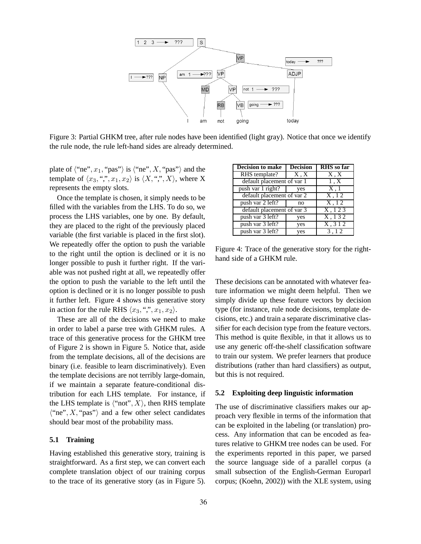

Figure 3: Partial GHKM tree, after rule nodes have been identified (light gray). Notice that once we identify the rule node, the rule left-hand sides are already determined.

plate of  $\langle$ "ne",  $x_1$ , "pas" $\rangle$  is  $\langle$ "ne", X, "pas" $\rangle$  and the template of  $\langle x_3, ","x_1,x_2 \rangle$  is  $\langle X, "", X \rangle$ , where X represents the empty slots.

Once the template is chosen, it simply needs to be filled with the variables from the LHS. To do so, we process the LHS variables, one by one. By default, they are placed to the right of the previously placed variable (the first variable is placed in the first slot). We repeatedly offer the option to push the variable to the right until the option is declined or it is no longer possible to push it further right. If the variable was not pushed right at all, we repeatedly offer the option to push the variable to the left until the option is declined or it is no longer possible to push it further left. Figure 4 shows this generative story in action for the rule RHS  $\langle x_3, "", x_1, x_2 \rangle$ .

These are all of the decisions we need to make in order to label a parse tree with GHKM rules. A trace of this generative process for the GHKM tree of Figure 2 is shown in Figure 5. Notice that, aside from the template decisions, all of the decisions are binary (i.e. feasible to learn discriminatively). Even the template decisions are not terribly large-domain, if we maintain a separate feature-conditional distribution for each LHS template. For instance, if the LHS template is  $\langle \text{``not''}, X \rangle$ , then RHS template  $\langle$ "ne", X, "pas") and a few other select candidates should bear most of the probability mass.

#### **5.1 Training**

Having established this generative story, training is straightforward. As a first step, we can convert each complete translation object of our training corpus to the trace of its generative story (as in Figure 5).

| Decision to make           | <b>Decision</b> | <b>RHS</b> so far |  |
|----------------------------|-----------------|-------------------|--|
| RHS template?              | X, X            | X, X              |  |
| default placement of var 1 | 1, X            |                   |  |
| push var 1 right?          | yes             | X,1               |  |
| default placement of var 2 |                 | X, 12             |  |
| push var 2 left?           | no              | X, 12             |  |
| default placement of var 3 |                 | X, 123            |  |
| push var 3 left?           | yes             | X, 132            |  |
| push var 3 left?           | yes             | X, 312            |  |
| push var 3 left?           | yes             | 3, 12             |  |

Figure 4: Trace of the generative story for the righthand side of a GHKM rule.

These decisions can be annotated with whatever feature information we might deem helpful. Then we simply divide up these feature vectors by decision type (for instance, rule node decisions, template decisions, etc.) and train a separate discriminative classifier for each decision type from the feature vectors. This method is quite flexible, in that it allows us to use any generic off-the-shelf classification software to train our system. We prefer learners that produce distributions (rather than hard classifiers) as output, but this is not required.

### **5.2 Exploiting deep linguistic information**

The use of discriminative classifiers makes our approach very flexible in terms of the information that can be exploited in the labeling (or translation) process. Any information that can be encoded as features relative to GHKM tree nodes can be used. For the experiments reported in this paper, we parsed the source language side of a parallel corpus (a small subsection of the English-German Europarl corpus; (Koehn, 2002)) with the XLE system, using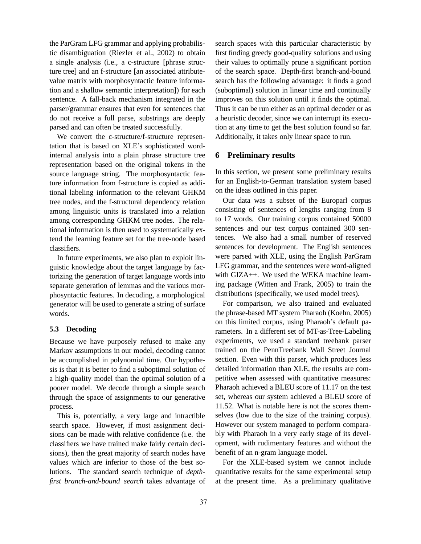the ParGram LFG grammar and applying probabilistic disambiguation (Riezler et al., 2002) to obtain a single analysis (i.e., a c-structure [phrase structure tree] and an f-structure [an associated attributevalue matrix with morphosyntactic feature information and a shallow semantic interpretation]) for each sentence. A fall-back mechanism integrated in the parser/grammar ensures that even for sentences that do not receive a full parse, substrings are deeply parsed and can often be treated successfully.

We convert the c-structure/f-structure representation that is based on XLE's sophisticated wordinternal analysis into a plain phrase structure tree representation based on the original tokens in the source language string. The morphosyntactic feature information from f-structure is copied as additional labeling information to the relevant GHKM tree nodes, and the f-structural dependency relation among linguistic units is translated into a relation among corresponding GHKM tree nodes. The relational information is then used to systematically extend the learning feature set for the tree-node based classifiers.

In future experiments, we also plan to exploit linguistic knowledge about the target language by factorizing the generation of target language words into separate generation of lemmas and the various morphosyntactic features. In decoding, a morphological generator will be used to generate a string of surface words.

# **5.3 Decoding**

Because we have purposely refused to make any Markov assumptions in our model, decoding cannot be accomplished in polynomial time. Our hypothesis is that it is better to find a suboptimal solution of a high-quality model than the optimal solution of a poorer model. We decode through a simple search through the space of assignments to our generative process.

This is, potentially, a very large and intractible search space. However, if most assignment decisions can be made with relative confidence (i.e. the classifiers we have trained make fairly certain decisions), then the great majority of search nodes have values which are inferior to those of the best solutions. The standard search technique of *depthfirst branch-and-bound search* takes advantage of search spaces with this particular characteristic by first finding greedy good-quality solutions and using their values to optimally prune a significant portion of the search space. Depth-first branch-and-bound search has the following advantage: it finds a good (suboptimal) solution in linear time and continually improves on this solution until it finds the optimal. Thus it can be run either as an optimal decoder or as a heuristic decoder, since we can interrupt its execution at any time to get the best solution found so far. Additionally, it takes only linear space to run.

### **6 Preliminary results**

In this section, we present some preliminary results for an English-to-German translation system based on the ideas outlined in this paper.

Our data was a subset of the Europarl corpus consisting of sentences of lengths ranging from 8 to 17 words. Our training corpus contained 50000 sentences and our test corpus contained 300 sentences. We also had a small number of reserved sentences for development. The English sentences were parsed with XLE, using the English ParGram LFG grammar, and the sentences were word-aligned with GIZA++. We used the WEKA machine learning package (Witten and Frank, 2005) to train the distributions (specifically, we used model trees).

For comparison, we also trained and evaluated the phrase-based MT system Pharaoh (Koehn, 2005) on this limited corpus, using Pharaoh's default parameters. In a different set of MT-as-Tree-Labeling experiments, we used a standard treebank parser trained on the PennTreebank Wall Street Journal section. Even with this parser, which produces less detailed information than XLE, the results are competitive when assessed with quantitative measures: Pharaoh achieved a BLEU score of 11.17 on the test set, whereas our system achieved a BLEU score of 11.52. What is notable here is not the scores themselves (low due to the size of the training corpus). However our system managed to perform comparably with Pharaoh in a very early stage of its development, with rudimentary features and without the benefit of an n-gram language model.

For the XLE-based system we cannot include quantitative results for the same experimental setup at the present time. As a preliminary qualitative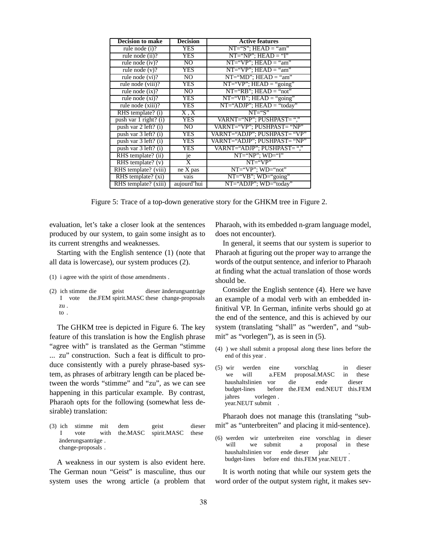| <b>Decision to make</b> | <b>Decision</b>             | <b>Active features</b>         |
|-------------------------|-----------------------------|--------------------------------|
| rule node (i)?          | <b>YES</b>                  | $NT="S": HEAD = "am"$          |
| rule node (ii)?         | YES                         | $NT="NP"$ ; $HEAD = "T"$       |
| rule node $(iv)$ ?      | N <sub>O</sub>              | $NT="VP": HEAD = "am"$         |
| rule node $(v)$ ?       | YES                         | $NT="VP"$ ; $HEAD = "am"$      |
| rule node $(vi)$ ?      | N <sub>O</sub>              | $NT="MD"$ ; $HEAD = "am"$      |
| rule node (viii)?       | YES                         | $NT='VP$ ; $HEAD = "going"$    |
| rule node $(ix)$ ?      | N <sub>O</sub>              | $NT="RB"$ ; $HEAD = "not"$     |
| rule node $(x_i)$ ?     | YES                         | $NT='VB$ "; $HEAD = "going"$   |
| rule node (xiii)?       | <b>YES</b>                  | $NT="ADJP"$ ; $HEAD = "today"$ |
| RHS template? (i)       | $\mathrm{X}$ , $\mathrm{X}$ | $NT = "S"$                     |
| push var 1 right? (i)   | <b>YES</b>                  | VARNT="NP": PUSHPAST=","       |
| push var 2 left? (i)    | N <sub>O</sub>              | VARNT="VP"; PUSHPAST= "NP"     |
| push var 3 left? (i)    | <b>YES</b>                  | VARNT="ADJP"; PUSHPAST= "VP"   |
| push var 3 left? (i)    | YES                         | VARNT="ADJP"; PUSHPAST= "NP"   |
| push var 3 left? (i)    | YES                         | VARNT="ADJP"; PUSHPAST=","     |
| RHS template? (ii)      | je                          | $NT="NP"$ ; $WD="T"$           |
| RHS template? $(v)$     | X                           | $NT = "VP"$                    |
| RHS template? (viii)    | ne X pas                    | $NT="VP"$ ; $WD="not"$         |
| RHS template? (xi)      | vais                        | $NT="VB"$ ; $WD="going"$       |
| RHS template? (xiii)    | aujourd'hui                 | NT="ADJP"; WD="today"          |

Figure 5: Trace of a top-down generative story for the GHKM tree in Figure 2.

evaluation, let's take a closer look at the sentences produced by our system, to gain some insight as to its current strengths and weaknesses.

Starting with the English sentence (1) (note that all data is lowercase), our system produces (2).

- (1) i agree with the spirit of those amendments .
- (2) ich stimme die I vote the.FEM spirit.MASC these change-proposals geist dieser änderungsanträge zu . to .

The GHKM tree is depicted in Figure 6. The key feature of this translation is how the English phrase "agree with" is translated as the German "stimme ... zu" construction. Such a feat is difficult to produce consistently with a purely phrase-based system, as phrases of arbitrary length can be placed between the words "stimme" and "zu", as we can see happening in this particular example. By contrast, Pharaoh opts for the following (somewhat less desirable) translation:

(3) ich stimme mit I vote with dem the.MASC geist spirit.MASC dieser these änderungsanträge. change-proposals .

A weakness in our system is also evident here. The German noun "Geist" is masculine, thus our system uses the wrong article (a problem that Pharaoh, with its embedded n-gram language model, does not encounter).

In general, it seems that our system is superior to Pharaoh at figuring out the proper way to arrange the words of the output sentence, and inferior to Pharaoh at finding what the actual translation of those words should be.

Consider the English sentence (4). Here we have an example of a modal verb with an embedded infinitival VP. In German, infinite verbs should go at the end of the sentence, and this is achieved by our system (translating "shall" as "werden", and "submit" as "vorlegen"), as is seen in (5).

- (4) ) we shall submit a proposal along these lines before the end of this year .
- (5) wir we werden will eine a.FEM vorschlag proposal.MASC in in dieser these haushaltslinien budget-lines vor before the.FEM end.NEUT this.FEM die ende dieser jahres year.NEUT submit vorlegen . .

Pharaoh does not manage this (translating "submit" as "unterbreiten" and placing it mid-sentence).

(6) werden wir unterbreiten eine will we submit a vorschlag in dieser proposal in these haushaltslinien vor ende dieser budget-lines before end this.FEM year.NEUT . jahr .

It is worth noting that while our system gets the word order of the output system right, it makes sev-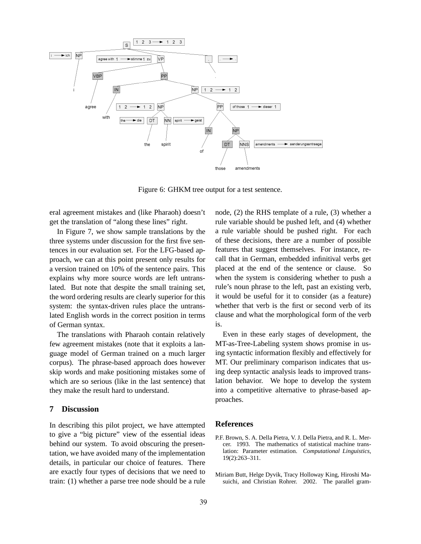

Figure 6: GHKM tree output for a test sentence.

eral agreement mistakes and (like Pharaoh) doesn't get the translation of "along these lines" right.

In Figure 7, we show sample translations by the three systems under discussion for the first five sentences in our evaluation set. For the LFG-based approach, we can at this point present only results for a version trained on 10% of the sentence pairs. This explains why more source words are left untranslated. But note that despite the small training set, the word ordering results are clearly superior for this system: the syntax-driven rules place the untranslated English words in the correct position in terms of German syntax.

The translations with Pharaoh contain relatively few agreement mistakes (note that it exploits a language model of German trained on a much larger corpus). The phrase-based approach does however skip words and make positioning mistakes some of which are so serious (like in the last sentence) that they make the result hard to understand.

# **7 Discussion**

In describing this pilot project, we have attempted to give a "big picture" view of the essential ideas behind our system. To avoid obscuring the presentation, we have avoided many of the implementation details, in particular our choice of features. There are exactly four types of decisions that we need to train: (1) whether a parse tree node should be a rule node, (2) the RHS template of a rule, (3) whether a rule variable should be pushed left, and (4) whether a rule variable should be pushed right. For each of these decisions, there are a number of possible features that suggest themselves. For instance, recall that in German, embedded infinitival verbs get placed at the end of the sentence or clause. So when the system is considering whether to push a rule's noun phrase to the left, past an existing verb, it would be useful for it to consider (as a feature) whether that verb is the first or second verb of its clause and what the morphological form of the verb is.

Even in these early stages of development, the MT-as-Tree-Labeling system shows promise in using syntactic information flexibly and effectively for MT. Our preliminary comparison indicates that using deep syntactic analysis leads to improved translation behavior. We hope to develop the system into a competitive alternative to phrase-based approaches.

### **References**

- P.F. Brown, S. A. Della Pietra, V. J. Della Pietra, and R. L. Mercer. 1993. The mathematics of statistical machine translation: Parameter estimation. *Computational Linguistics*, 19(2):263–311.
- Miriam Butt, Helge Dyvik, Tracy Holloway King, Hiroshi Masuichi, and Christian Rohrer. 2002. The parallel gram-